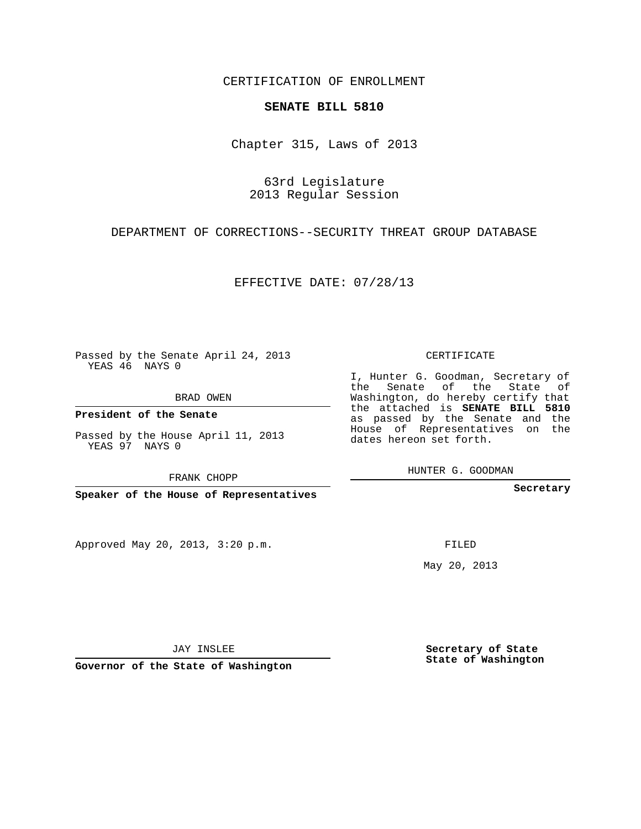CERTIFICATION OF ENROLLMENT

## **SENATE BILL 5810**

Chapter 315, Laws of 2013

63rd Legislature 2013 Regular Session

DEPARTMENT OF CORRECTIONS--SECURITY THREAT GROUP DATABASE

EFFECTIVE DATE: 07/28/13

Passed by the Senate April 24, 2013 YEAS 46 NAYS 0

BRAD OWEN

**President of the Senate**

Passed by the House April 11, 2013 YEAS 97 NAYS 0

FRANK CHOPP

**Speaker of the House of Representatives**

Approved May 20, 2013, 3:20 p.m.

CERTIFICATE

I, Hunter G. Goodman, Secretary of the Senate of the State of Washington, do hereby certify that the attached is **SENATE BILL 5810** as passed by the Senate and the House of Representatives on the dates hereon set forth.

HUNTER G. GOODMAN

**Secretary**

FILED

May 20, 2013

**Secretary of State State of Washington**

JAY INSLEE

**Governor of the State of Washington**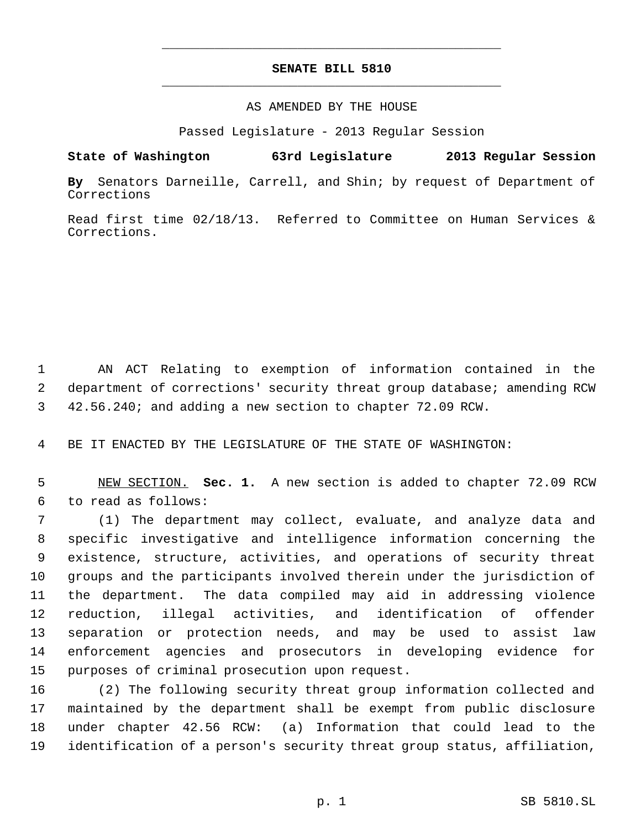## **SENATE BILL 5810** \_\_\_\_\_\_\_\_\_\_\_\_\_\_\_\_\_\_\_\_\_\_\_\_\_\_\_\_\_\_\_\_\_\_\_\_\_\_\_\_\_\_\_\_\_

\_\_\_\_\_\_\_\_\_\_\_\_\_\_\_\_\_\_\_\_\_\_\_\_\_\_\_\_\_\_\_\_\_\_\_\_\_\_\_\_\_\_\_\_\_

## AS AMENDED BY THE HOUSE

Passed Legislature - 2013 Regular Session

# **State of Washington 63rd Legislature 2013 Regular Session**

**By** Senators Darneille, Carrell, and Shin; by request of Department of Corrections

Read first time 02/18/13. Referred to Committee on Human Services & Corrections.

 AN ACT Relating to exemption of information contained in the department of corrections' security threat group database; amending RCW 42.56.240; and adding a new section to chapter 72.09 RCW.

BE IT ENACTED BY THE LEGISLATURE OF THE STATE OF WASHINGTON:

 NEW SECTION. **Sec. 1.** A new section is added to chapter 72.09 RCW to read as follows:

 (1) The department may collect, evaluate, and analyze data and specific investigative and intelligence information concerning the existence, structure, activities, and operations of security threat groups and the participants involved therein under the jurisdiction of the department. The data compiled may aid in addressing violence reduction, illegal activities, and identification of offender separation or protection needs, and may be used to assist law enforcement agencies and prosecutors in developing evidence for purposes of criminal prosecution upon request.

 (2) The following security threat group information collected and maintained by the department shall be exempt from public disclosure under chapter 42.56 RCW: (a) Information that could lead to the identification of a person's security threat group status, affiliation,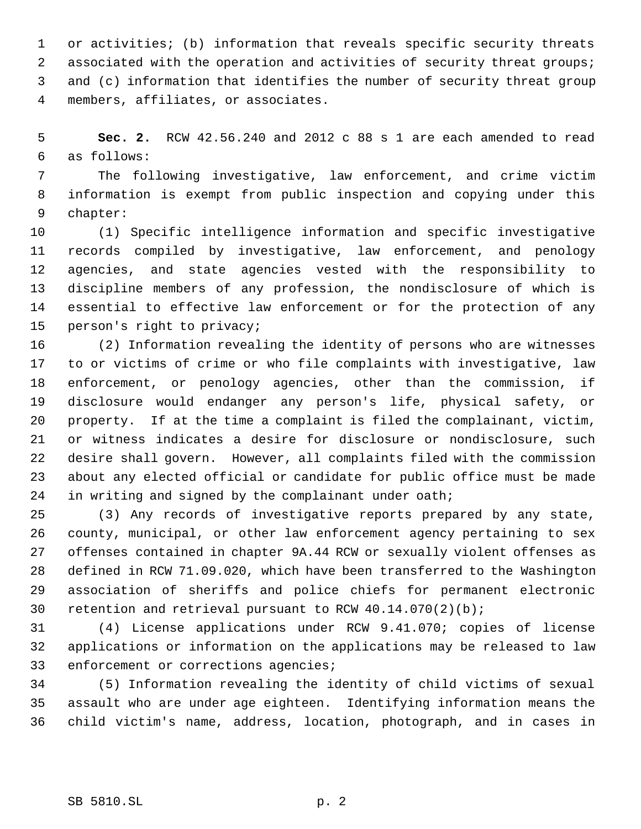or activities; (b) information that reveals specific security threats 2 associated with the operation and activities of security threat groups; and (c) information that identifies the number of security threat group members, affiliates, or associates.

 **Sec. 2.** RCW 42.56.240 and 2012 c 88 s 1 are each amended to read as follows:

 The following investigative, law enforcement, and crime victim information is exempt from public inspection and copying under this chapter:

 (1) Specific intelligence information and specific investigative records compiled by investigative, law enforcement, and penology agencies, and state agencies vested with the responsibility to discipline members of any profession, the nondisclosure of which is essential to effective law enforcement or for the protection of any person's right to privacy;

 (2) Information revealing the identity of persons who are witnesses to or victims of crime or who file complaints with investigative, law enforcement, or penology agencies, other than the commission, if disclosure would endanger any person's life, physical safety, or property. If at the time a complaint is filed the complainant, victim, or witness indicates a desire for disclosure or nondisclosure, such desire shall govern. However, all complaints filed with the commission about any elected official or candidate for public office must be made 24 in writing and signed by the complainant under oath;

 (3) Any records of investigative reports prepared by any state, county, municipal, or other law enforcement agency pertaining to sex offenses contained in chapter 9A.44 RCW or sexually violent offenses as defined in RCW 71.09.020, which have been transferred to the Washington association of sheriffs and police chiefs for permanent electronic retention and retrieval pursuant to RCW 40.14.070(2)(b);

 (4) License applications under RCW 9.41.070; copies of license applications or information on the applications may be released to law enforcement or corrections agencies;

 (5) Information revealing the identity of child victims of sexual assault who are under age eighteen. Identifying information means the child victim's name, address, location, photograph, and in cases in